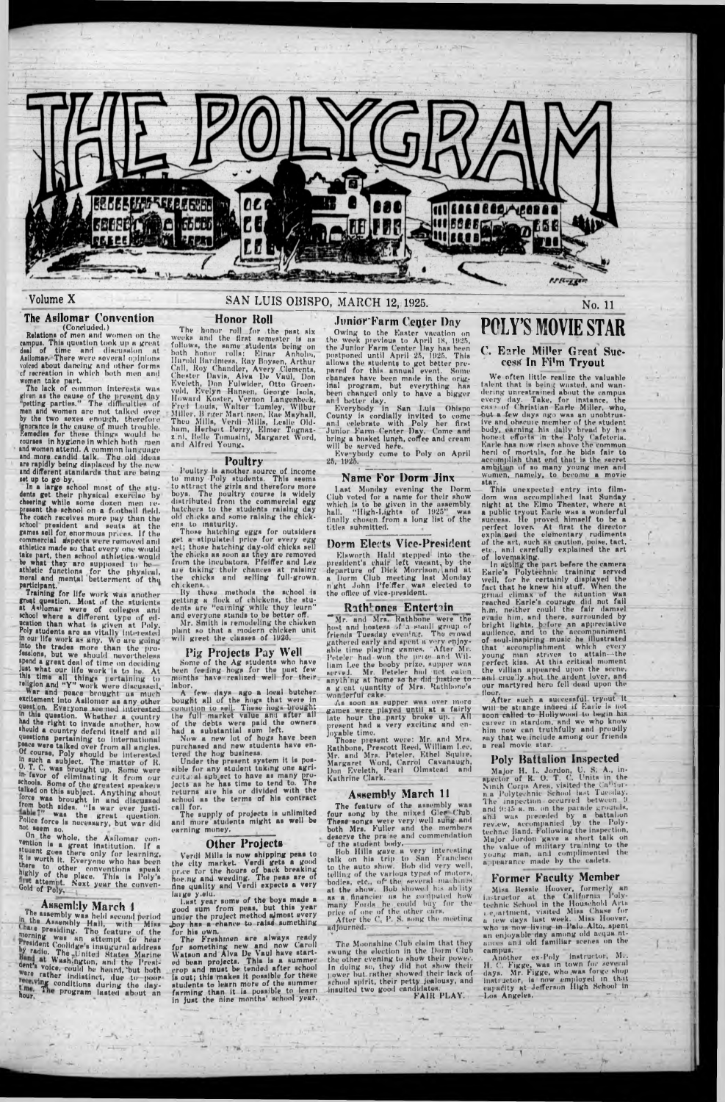

#### Volume X

# **The Asilomar** Convention (Concluded.)<br> **Relations of men and women on the**

campus. This question took up a great deal of time and discussion at Asilomar, There were several opinion\* voiced about dancing and other forms cf recreation in which both men and women take part.

The lack of common interests was dven a» the cause of the present day "petting parties." The difficulties of men and women nro not talked over by the two sexes enough, therefore Ignorance I\* the cause of much trouble. Remedies for these things would be courses in hygiene in which both men snd women attend. A common language and more candid talk. The old iduus are rapidly being displaced by the new and different standards that are being set up to go by.

In a large school most of the students get their physical exercise by cheering while some doxen men represent the school on a football field. The coach receives more pay than the school president and seats at the games sell for enormous prices. If the commercial sispects were removed and athletics made so that every one would take part, then school athletics 'would be what they are supposed to beathletic functions for tho physicul, moral and mental betterment of the participant.

Training for life work was another greation. Most of the students at Asilomar were of colleges and school where a different type of education than whut is given at Poly. Poly students aro as vitally interested in out life work a« any. We ure going into the trades more than the professions, but we should nevertheless spend a great deal of time on deciding just what our life work is to be. At this time all things pertaining to religion and "Y" work were discussed.<br>War and peace brought us much excitement Into Asilomor us any other quest on, Everyone see ned interested. in this question. Whether a country had the right to Invade another, how shuuld a country defend itself and all queetlona pertaining to International peace were talked over from all uncles. Of course, Poly should be Interested  $\frac{1}{2}$  subject. The matter of R. 0. T. C. was brought up. Some were in- favor of eliminating It from our schools. Some of the greatest speakers talked on this subject. Anything about orce was brought in and discussed

On the whole, the Asilomar con $v_{\text{e}}$  is a great institution. If a •tuuent goes there only for learning, it Is worth it. Everyone who hua been to other conventions speak "Kniy of the place. This is Poly's we attempt. Next year the conven-<br>Gold of Poly,

The honor roll for the past six week\* und the first semester is as follows, the same students being on both honor rolls: Einar Anholin, Unsold Bardmean. Hay Boyaen, Arthur Call, Hoy Chandler, Avery Clements, Chester Uavis, Alva I)e Vuul, Don Eveleth, Don Fulwider, Otto Groenveld, Evelyn Hansen, George Isola, lb,wind Foster, Vernon I.angenbock, Frol Fouls, Walter Lumley, Wilbur Miller, B'rger Martinson, Hue Mayhall, Theo Mills, Verdi Mills, Leslie Oldhum, Herbert Perry, Elmer Tognazz'ni, Hello Tomaslnf, Margaret Word, und Alfred Young.

Some of the Ag students who have been feeling hogs for the pust few months have realized well for their

from both aides. "Is wur ever Justi-Police force is necessary, but war did not teem so.

labor.<br>A few days ago a local butcher bought all of the nogs that wete in condition to sell. These hugs brought the full market value and after all of the debts were paid the owners had a substantial sum left.

Under the present system it is possible for any student tuking one agricultural subject to have as many projects as he has time to tend to. The returns are his or divided with the school as the terms of his contract

## **Assembly March 1**

The assembly was held second period In the Assembly Hall, with Miss **interpresiding.** The feature of the morning was an attempt to hear ■ resident Coolldge's Inaugural address *y* radio. The United States Marine dent's voice, could be heard, but both *rather* indistinct, due to poor **We conditions during the day**hour. The program lasted about an

Verdi Mills is now shipping peas to the city market. Verdi gets a good nr.ee for the hours of back breaking noe.ng and weeding. The peas are of fine quality and Verdi expects a very tuige y.elu.

Last year some of the boys made a good sum from peas, but this year under the project method almost every .boy has a chance to raise something

# SAN LUIS OBISPO, MARCH 12, 1925.

#### Honor Roll

No. 11

#### Junior Farm Center Day Owing to the Easter vacation on the week previous to April 18,.1025, the Junior Farm ('enter Day hns been postponed until April 25, 1025. This ullows the student^ to get better prepared for this annual event. Some changes have been made in the original program, hut everything has been changed only to have a bigger

Last Monday evening the Dorm Club voted for a name for their show which is to be given in the assembly hull. "High-Lights of 1025" was finally chosen from a long list of the titles submitted.

Elsworth Hald stepped into the president's chair left vacant, by the departure of Dick Morrison, and at a Dorm Club meeting last Monday night John Pfeiffer was elected to the office of vice-president.

#### **Poultry**

Poultry la another aource of Income to many Poly studenta. Thia seems to attruct the girls and therefore more boya, The Poultry course is widely distributed from the commercial egg hatchers to the students raising day old chicks and some raising the chickens to maturity.

Those hatching eggs for outsiders get a stipulated price for every egg set; those hatching day-old chicks sell the chicks as soon as they are removed from the incubators. Pfeiffer and Lee are taking their chances at raising the chicks and selling full-grown ch ckens.

> The Moonshine Club claim that they swung the election in the Dorm Club the other evening to show their power. in doing so, they did hot show their lower but rather showed their lack of school spirit, their petty jealousy, and insuited two good candidates.

By these methods the school Is getting u flock of chickens, the students ure " earning while they leurn" and everyone stands to be better off.

Mr. Smith is remodeling the chieken plant so that a modern chicken unit will greet the classes of 1926.

#### Pig Projects Pay Well

We often little realize the valuable talent that is being wasted, and wandering unrestrained about the campus every day, Tuke, for instance, the case of Christian Earle Miller, who, -but a few days ago was an unobtrusive and obacuie member of the student body, earning his daily bread by h s honest efforts in the Poly Cafeteria.<br>Earle has now risen above the common. herd of mortals, for he bids fair to accomplish that end thut is the secret ambition of so many young men and women, namely, to become a movie star.

This unexpecte I entry into filmdom was accomplished last Sunday night at the Elmo Theater, where at a public tryout Earle was a wonderful success. He proved, himself to be a perfect lover. At first the director expla bel the elementary rudiments of the art, such as caution, poise, tact, etc., and carefully explained the art of lovemaking.

Now a new lot of hogs have been purchased and new students have entered the hog business.

call for. The supply of projects la unlimited and more students might as well be earning money.

#### Other Projects

Major H. L. Jordon, U. 8; A., inspector of R. O. T. C. Units in the Ninth Corps Area, visited the Californ a Polytechnic School last Tuesday. The inspection occurred between **9** and  $9:45$  a. m. on the parade grounds, anJ was preceded by a battalion rev.ew, accompanied by the Polytechn.c Hand. F ollowing the inspection, Major Jordon gave a short talk on the value of military tra ning to the young man, und complimented the  $a$  pearance made by the cadets.

Misa Bessie Hoover, formerly an instructor at the California Polytechnic School in the Household Arts i. e.iartmeht, visited Miss Chase for u lew days lust week. Mis\* Hoover, who is now living in Palo Alto, spent an enjoyable day among old acqua ntances and old familiar scenes on the

campus.<br>Another ex-Poly instructor, Mr. H. C. Figge, was in town for several days. Mr. Figge, who was forge shop instructor, is now employed in that capiu'ity at Jefferson High School In Los Angeles.

for his oWn. The Freshmen ure always ready for something new and now Caroll Watson and Alva De Vaul have started bean projects. Thia la a summer crop and must be tended after school Is out; this makes it possible for these students to learn more of the summer farming than It la possible to learn In Just the nine months' school year..

The feature of the assembly four song by the mixed Glee Chib. These songs were very well sung and both Mrs. Fuller and the members deserve the praise and commendation

and better day. Everybody in San Lula Obispo County is cordially invited to come anil celebrate with Poly her first Junior Farm Center Day. Como nnd bring a basket lunch, coffee and cream will be served here.

Eve>ybody come to Poly on April 25, 1025.

#### Name For Dorm Jinx

#### !)orm Elects Vice-President

#### Rath' ones Entertain

"Mr. and Mrs. Rathbone weie the host nnd hostess ./f a small group of friends Tuesday evening. The crowd gathered early and spent a very enjoyable time playing trames. After Mi. Peteler had won the price and William Lee the booby prize, supper wns served. Mr. Peteler hiul net eaten anylh'ng at "home \*o he did justice toa g eat quantity of Mrs. Huthbone's wonderful cake.

As soon as supper was over more games were played until at a fairly late hour the party broke up. All present had a very exciting and en-

joyable time. Those piesent were: Mr. and Mrs. Hathbone, Prescott Heed, William I.ee, Mr. and Mrs. Peteler, Ethel Squire, Margaret Word, Carrol Cavanaugh, Don Eveleth, Peurl Olmstead and Kathrine **C la rk ..**

# Assembly March 11

of (ho student body. -------- , Hob Hills guve a very interesting talk on hia trip to San Franclaco to the auto show. Boh did very well, telling of the various types of motors, bodies, etc., of\* the several machines at the show. Hub 'showed his ablity as a financier us he ro ijpulcd how muny Fords, he could buy for the price of one of the other ears.

After the  $\mathrm{C_{t}}$  P. S. song the meeting adjourned.

■ V' ■ • —

FAIR PLAY.

# **POLY'S MOVIE STAR** C. Earle MiPer Great Success In Fi'm Tryout

In acting the part before the camera Earle's Polytechnic training served well, for he certainly displayed the fact that he knew his stuff. When the grnad climax of the situation was reuched Earle's courage did not fail h. m, neither could the fair damsel c.a Ic him. anil there, surrounded by bright lights, before an appreciative audience, and to the accompaniment of aoul-inspiring music he illustrated that accomplishment which every young man strives to attain—the perfect kiss. At this critical moment the villian appeared upon the scene, -and cruelly shut the ardent lover, and our martyred hero fell dead upon the floor.

After such a successful tryout it will be sti ange indeed if Earle is nut soon called to Hollywood to begin his career in stardom, and we who know him now can truthfully and proudly suy that we include among our friends a real movie star.

### Poly Battalion Inspected

## Former Faculty Member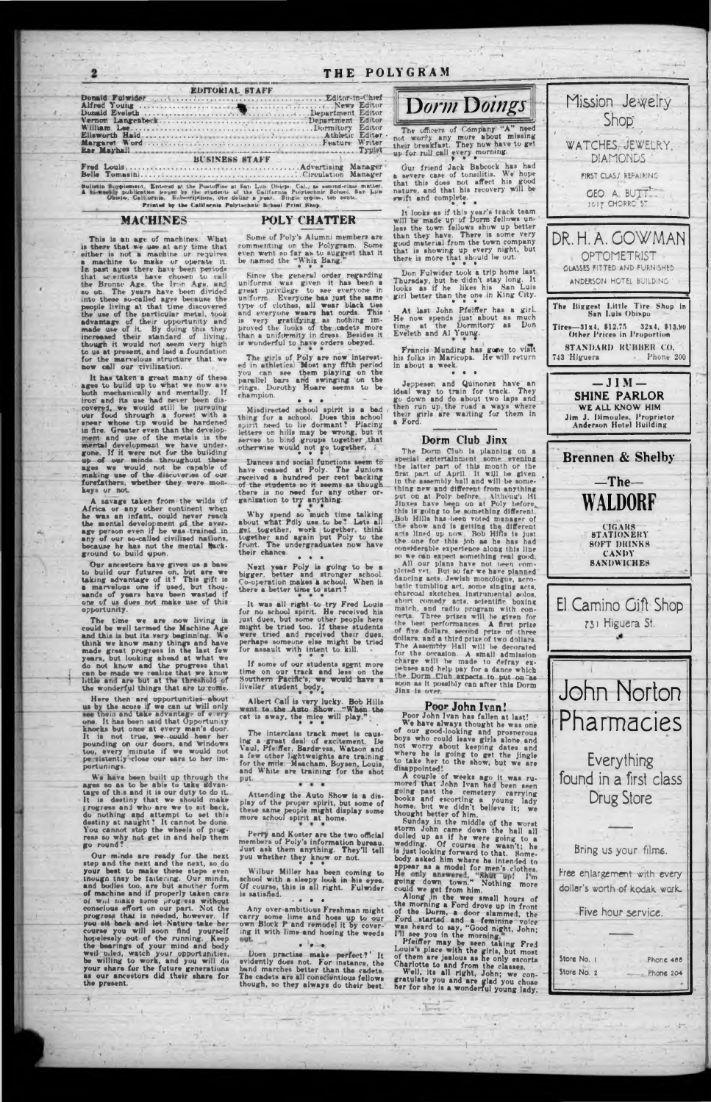| <u> 1 1 1 2 1 0 2 1 0 3 3 3 3 3 4</u>                                                                                                                                                                                                                                                                                                                                                                                                                                                                                                                                                                                                                                                                                                                                                                                                                                                                                                                       |           |
|-------------------------------------------------------------------------------------------------------------------------------------------------------------------------------------------------------------------------------------------------------------------------------------------------------------------------------------------------------------------------------------------------------------------------------------------------------------------------------------------------------------------------------------------------------------------------------------------------------------------------------------------------------------------------------------------------------------------------------------------------------------------------------------------------------------------------------------------------------------------------------------------------------------------------------------------------------------|-----------|
| <b>EDITORIAL STAFF</b><br>Dorm Doings<br>.Lepartment Editor<br>Denartment Editor                                                                                                                                                                                                                                                                                                                                                                                                                                                                                                                                                                                                                                                                                                                                                                                                                                                                            | Miss      |
| William Lee<br>webserves Dormitory Editor<br>The officers of Company "A" need<br>Ellsworth Hald.<br>not worfy any more about missing<br>their breakfast. They now have to get<br>Rae Mashall<br><b>Typist</b><br>respectively a property and the complete state of the complete<br>up for roll call every morning.<br><b>BUSINESS STAFF</b>                                                                                                                                                                                                                                                                                                                                                                                                                                                                                                                                                                                                                 | WATO      |
| Our friend Jack Babcock has had<br>a nevere case of tonsilitis. We hope<br>that this does not affect his good<br>Sulistin Supplement. Entered at the Postoffice at San Lun Chicpo, Cal., as second-class matter.<br>nature, and that his recovery will be<br>A his weekly publication leaged by the students of the California Polytechnic Bohool. San Lub<br>wwift and complete.<br>Observe, California. Bulsernistions, one dollar a year. Single copies, ten cents.<br>$\mathbb{R}^n \quad \text{and} \quad \mathbb{R}^n \quad \text{and} \quad \mathbb{R}^n \quad \text{and} \quad \mathbb{R}^n \quad \text{and} \quad \mathbb{R}^n \quad \text{and} \quad \mathbb{R}^n \quad \text{and} \quad \mathbb{R}^n \quad \text{and} \quad \mathbb{R}^n \quad \text{and} \quad \mathbb{R}^n \quad \text{and} \quad \mathbb{R}^n \quad \text{and} \quad \mathbb{R}^n \quad \text{and} \quad \mathbb{R}^n \quad \text{and} \quad \mathbb{R}^n \quad \text{and} \$ | FIRS<br>G |

UF POIYCRAM

Printed by the California Polytechnic Bchool Print Shop

#### MACHINES

# This is an age of machines. What is there that we use at any time that either is not a machine or requires machine to make or operate it. In past ages there have been periods that scientists have chosen to call the Bronze Age, the Iron Age, and so on. The years have been divided into these so-called ages because the into these so-called ages because the<br>people living at that time discovered<br>the use of the particular metal, took<br>downtage of their opportunity and<br>made use of it. By doing this they<br>increased their standard of living,<br>tho for the marvelous structure that we

It has taken a great many of these ages to build up to what we now are both mechanically and mentally. If iron and its use had never been discovered, we would still be pursuing<br>our food through a forest with a<br>spear whose tip would be hardened<br>in fire. Greater even than the develop-<br>ment and use of the metals is the mental development we have under-gone. If it were not for the building up of our minds throughout these ages we would not be capable of making use of the discoveries of our forefathers, whether they were monkeys or not.

A savage taken from the wilds of Africa or any other continent when he was an infant, could never reach the mental development of the averany of our so-called civilized nations, because he has not the mental fluck-ground to build upon.

Our ancestors have given us a base<br>to build our futures on, but are we<br>taking advantage of it? This gift is<br>a marvelous one if used, but thousands of years have been wasted if one of us does not make use of this opportunity.

The time we are now living in The time we are now living in<br>could be well termed the Machine Age<br>and this is but its very beginning. We<br>think we know many things and have<br>think we know many things and have<br>made great progress in the last few<br>years, but

Here then are opportunities about<br>us by the score if we can or will only see their and take advantage of every one. It has been said that Opportun ty knocks but once at every man's door.<br>It is not true, we could hear her pounding on our doors, and windows<br>too, every minute if we would not<br>peristently close our ears to her importunings

We have been built up through the ages so as to be able to take advantage of this and it is our duty to do it. It is destiny that we should make do nothing and attempt to set this destiny at naught? It cannot be done.<br>You cannot stop the wheels of progress so why not get in and help them go round?

### **POLY CHATTER**

Some of Poly's Alumni members are commenting on the Polygram. Some even went no far as to suggest that it be named the "Whiz Bang.

Since the general order regarding<br>uniforms was given it has been a<br>great privilege to see everyone in<br>uniform. Everyone has just the same type of clothes, all wear black ties and everyone wears hat cords. This is very gratifying as nothing im-<br>is very gratifying as nothing im-<br>proved the looks of the cadets more than a uniformity in dress. Besides it is wonderful to have orders obeyed.

The girls of Poly are now interest-<br>ed in athletical Most any fifth period you can see them playing on the parallel bars and swinging on the rings. Dorothy Hoare seems to be champion.

Mindirected school spirit is a bad thing for a school. Does this achool spirit need to lie dormant? Placing letters on hills may be wrong, but it serves to bind groups together, that otherwise would not go together,

Dances and social functions seem to have ceased at Poly. The Juniors received a hundred per cent backing of the students so it seems as though there is no need for any other organization to try anything.

Why spend so much time talking<br>about what Pdly use to be? Lets all<br>get together, work together, think<br>together and again put Poly to the<br>front. The undergraduates now have their chance.  $\bullet$   $\bullet$   $\bullet$ 

Next year Poly is going to be a bigger, better and stronger school. Co-operation makes a school. When is there a better time to start?

It was all right to try Fred Louis<br>for no school spirit. He received his<br>just dues, but some other people here<br>might be tried too. If these students were tried and received their dues, perhaps someone else might be tried for assault with intent to kill.

If some of our students spent more time on our track and less on the Southern Pacific's, we would have a livelier student body.

Albert Call is very lucky. Bob Hills went to the Auto Show. "When the cat is away, the mice will play."

The interclass track meet is causing a great deal of excitement. De Vaul, Pfeiffer, Bardmess, Watson and a few other lightweights are training for the mile. Meacham, Boysen, Louis, and White are training for the shot put.

Attending the Auto Show is a display of the proper spirit, but some o these same people might display some more achool spirit at home.



pleted yet. But no far we have planned dancing acts. Jewish monologue, acrobatic tumbling act, some singing acts, short comedy acts, scientific boxing match, and radio program with con-<br>rerta. Three prizes will be given for<br>the best performances. A first prize<br>of five dollars, second prize of three dollars, and a third prize of two dollars. The Assembly Hall will be decorated for the orcasion. A small admission<br>charge will be made to defray ex-<br>pennes and help pay for a dance which<br>the Dorm Club expects to put on has<br>boon as it possibly can after this Dorm<br>Hav is toposibly can after this Dorm Jinx is over.

considerable experience along this line

so we can expect something real good.

All our plans have not been com-

Eveleth and Al Young.

in about a week.

## Poor John Ivan!

Poor John Ivan has fallen at last! We have always thought he was one of our good-looking and prosperous not worry about keepig dates and<br>where he is going to get the jingle<br>to take her to the show, but we are<br>disappointed!

A couple of weeks ago it was ru-<br>mored that John Ivan had been seen going past the cemetery carrying<br>books and escorting a young lady<br>home, but we didn't believe it; we



Our minds are ready for the next step and the next and the next, so do your best to make these steps even though they be faitering. Our minds, and bodies too, are but another form<br>of machine and if properly taken care of will make nome progress without conscious effort on our part. Not the progress that is needed, however. If you sit back and let Nature take her you all back and let Nature take her<br>course you will soon find yourself<br>hopelessly out of the running. Keep<br>the bearings of your mind and body<br>well biled, watch your opportunities,<br>be willing to work, and you will do<br>your the present.

Perry and Koster are the two official members of Poly's information bureau.<br>Just ask them anything. They'll tell<br>you whether they know or not.

Wilbur Miller has been coming to school with a sleepy look in his eyes.<br>Of course, this is all right. Fulwider<br>is aatisfied.  $\cdot$  . . .

Any over-ambitious Freshman might varry some lime and hoes up to our own Block P and remodel it by covering it with lime and hoeing the weeds out.  $-4$  $\bullet \quad \bullet \quad \bullet$ 

Does practise make perfect?' It evidently does not. For instance, the band marches better than the cadets. The cadets are all conscientious fellows though, so they always do their best. thought better of him.

Sunday in the middle of the worst bunday in the middle of the worst<br>storm John came down the hall all<br>dolled up as if he were going to a<br>wedding. Of course he wasn't; he<br>is just looking forward to that. Someis just looking forward to that. Some-<br>body asked him where he intended to<br>appear as a model for men's clothes.<br>He only shown town. Sothing more<br>could we get from him.<br>Along in the west small hours of<br>the morning a Ford dr

the morning a Ford drove up in front<br>of the Dorm, a door slammed, the<br>Ford started and a feminine voice<br>was heard to any, "Good night, John;<br>Ill see you in the morning."<br>Pfeiffer may be seen taking Fred<br>Louis's place with

or them are junious as ne only secure.<br>Charlotte to and from the classes.<br>Well, its all right, John; we congratulate you and are glad you chose<br>her for she is a wonderful young lady.

Bring us your films. Free enlargement with every dollar's worth of kodak work. Five hour service. Store No. 1 **Phone 488** Store No. 2 Phone 204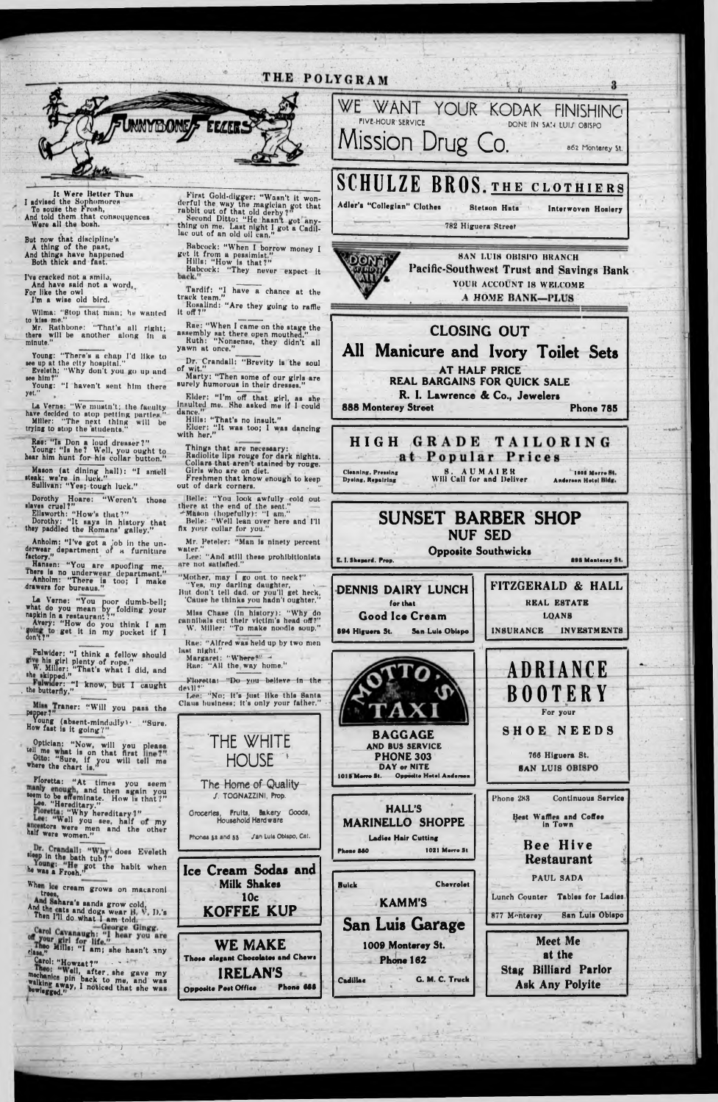I've cracked not a amilu, And have said not a word, For like the owl

I'm a wise old bird.

# THE POLYGRAM

Wilma: "Stop that man; he wanted to kiss me."



It Were Better Thun I advised the Sophomores<br>To souse the Froah,<br>And told them that conacquences Were all the booh.

But now that discipline's A thing of the pant, And things have happened Both thick and fast.

Mr. Rathbone: "That's all right; there will be another along in a minute,"

ere him?" Young: "I haven't sent him there

First Gold-digger: "Wasn't it won-<br>derful the way the magician got that<br>rabbit out of that old derby?" , Second Ditto: " He haan t got any-

thing on me. Last night I got a Cadil-<br>lac out of an old oil can."

Young: " There'\* a chap I'd like to ee up at the city hompital." Eveleth; " Why don't you go up and

Rae: "la Don a loud dreaaer?" Young: "la he? Well, you ought to hear him hunt for his collar button."

y»t."

La Verne: "We mustn't; the faculty have decided to atop petting parties." Miller: "The next thing will be trying to stop the students.

Elliworth: " How'\* that?" Dorothy; "It aaya in hiatory that they paddled the Romans' galley."

Anholm: "I've got a job in the underwear department of a furniture<br>factory,"

Hanaen: " You are spoofing me. Inere is no underwear department." Anholm: "There is too; I make<br>drawers for bureaus."

A\* Verne: "You poor dumb-bell; what do you mean by folding your napkin in a restaurant?" Avery: "How do you think I am  $\frac{1}{2}$  for  $\frac{1}{2}$  ,  $\frac{1}{2}$  ,  $\frac{1}{2}$  ,  $\frac{1}{2}$  ,  $\frac{1}{2}$  ,  $\frac{1}{2}$  ,  $\frac{1}{2}$  ,  $\frac{1}{2}$  ,  $\frac{1}{2}$  ,  $\frac{1}{2}$  ,  $\frac{1}{2}$  ,  $\frac{1}{2}$  ,  $\frac{1}{2}$  ,  $\frac{1}{2}$  ,  $\frac{1}{2}$  ,  $\frac{1}{2}$  ,  $\frac{1}{2}$  ,  $\frac$ 

Babcock: "When I borrow money I get it from a peiaimiat." Hilla: "How la thut?"

Fulwlder: "I think a fellow should his girl plenty of rope."

w. milter: "That's what I did, and<br>the skipped."<br>Fulwider: "I know, but I caught<br>the butterfly."

B-bcock: "They never expect it

Tardif: "I have a chance at the track team."

Rosalind: "Are they going to raffle<br>it off?"

Pepper?" and the sound paint the Young (abaent-mindudlyt- "Sure. How fast is it going?"

Optician: " Now, will you please Otto: "Russell on that first where the chart is." will tell me

Fioretta: "At times you seem seem to be effeminate. How is that?"<br>Lee. "Hereditary."

Maeon (at dining hall): "I antell •teak: we're in luck." Sullivan: "Yea; tough luck."

Dorothy Hoare: "Weren't thome<br>alaves.cruel?"

Marty: "Then some of our girls are surely humorous in their dresses."

Elder: "I'm off that girl, as she Insulted me. She asked me if I could dance.

Hills: "That's no insult." Elder: "It was too; I was dancing with her."

out of dark corners. Belle: "You look awfully eold out

there at the end of the sent."  $\neg$ Mason (hopefully): "I am."

Belle: " Well lean over here and I'll fix your collar for you."

Mr. Peteler: "Man is ninety percent. water.

Lee: " And still these prohibitionists  $\arctan$  not satisfied."

"Mother, may I go out to neck?" "Yes, my darling daughter,  $\longrightarrow$ 

Floretta: "Do you believe in the devil?"



AT HALF PRICE<br>REAL BARGAINS FOR QUICK SALE R. I. Lawrence & Co., Jewelers 888 Monterey Street Phone 785

# **HIGH GRADE TAILORING** at Popular Prices

Cleaning, Pressing B. A U M A I E R .<br>Dysing, Repairing Will Call for and Deliver

1000 Morro St. Anderson Hotel Bldg.

BAGGAGE AND BUS SERVICE PHONE 303 DAY or NITE 1015 Marro St. Opposite Hotel Anderson

766 Higuera St. **SAN LUIS OBISPO** 

Phone 283 Continuous Service





Rac: "When I came on tho stage the assembly sat there open mouthed." Ruth: " Nonsenae, they didn't all

yawn at once." Dr. Crandall: "Brevity la the soul of wit."

Thinga that are necessary:

Radiolite lips rouge for dark nights. Collars that aren't stained by rouge. Girls who are on diet. Freshmen that know enough to keep

But don't tell dud. or you'll get heck, 'Cause he thinks you hadn't oughter."

Miss Chase (In history): "Why do cannibals cut their victim's head off?" W. Miller: "To make noodle soup,"

Rae: "Alfred was held up by two men last night." last night."

Margaret: "Where?" *• \** Hue: "AH the way home."



Lee: "No; It's Just like this Banta Claus business; It's only your father."

THE WHITE HOUSE 2

**The Home of Quality** /. TOONAZZINI, Prop.



DENNIS DAIRY LUNCH for that Good Ice Cream 894 Higuera St. San Luis Obispo FITZGERALD & HALL REAL ESTATE LOANS INSURANCE INVESTMENTS **ADRIANCE BOOTERY** For your

SHOE NEEDS

*7*